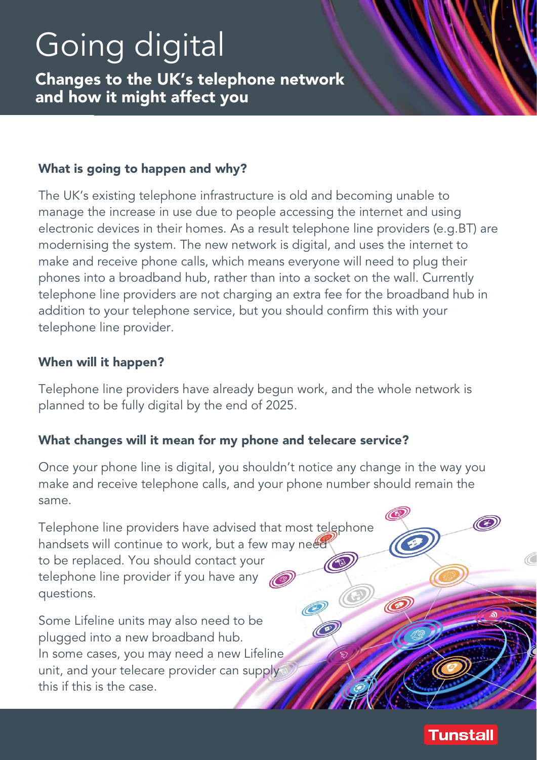# Going digital

Changes to the UK's telephone network and how it might affect you

# What is going to happen and why?

The UK's existing telephone infrastructure is old and becoming unable to manage the increase in use due to people accessing the internet and using electronic devices in their homes. As a result telephone line providers (e.g.BT) are modernising the system. The new network is digital, and uses the internet to make and receive phone calls, which means everyone will need to plug their phones into a broadband hub, rather than into a socket on the wall. Currently telephone line providers are not charging an extra fee for the broadband hub in addition to your telephone service, but you should confirm this with your telephone line provider.

# When will it happen?

Telephone line providers have already begun work, and the whole network is planned to be fully digital by the end of 2025.

## What changes will it mean for my phone and telecare service?

Once your phone line is digital, you shouldn't notice any change in the way you make and receive telephone calls, and your phone number should remain the same.

Telephone line providers have advised that most telephone handsets will continue to work, but a few may need to be replaced. You should contact your telephone line provider if you have any questions. Q

Some Lifeline units may also need to be plugged into a new broadband hub. In some cases, you may need a new Lifeline unit, and your telecare provider can supply this if this is the case.



O

O